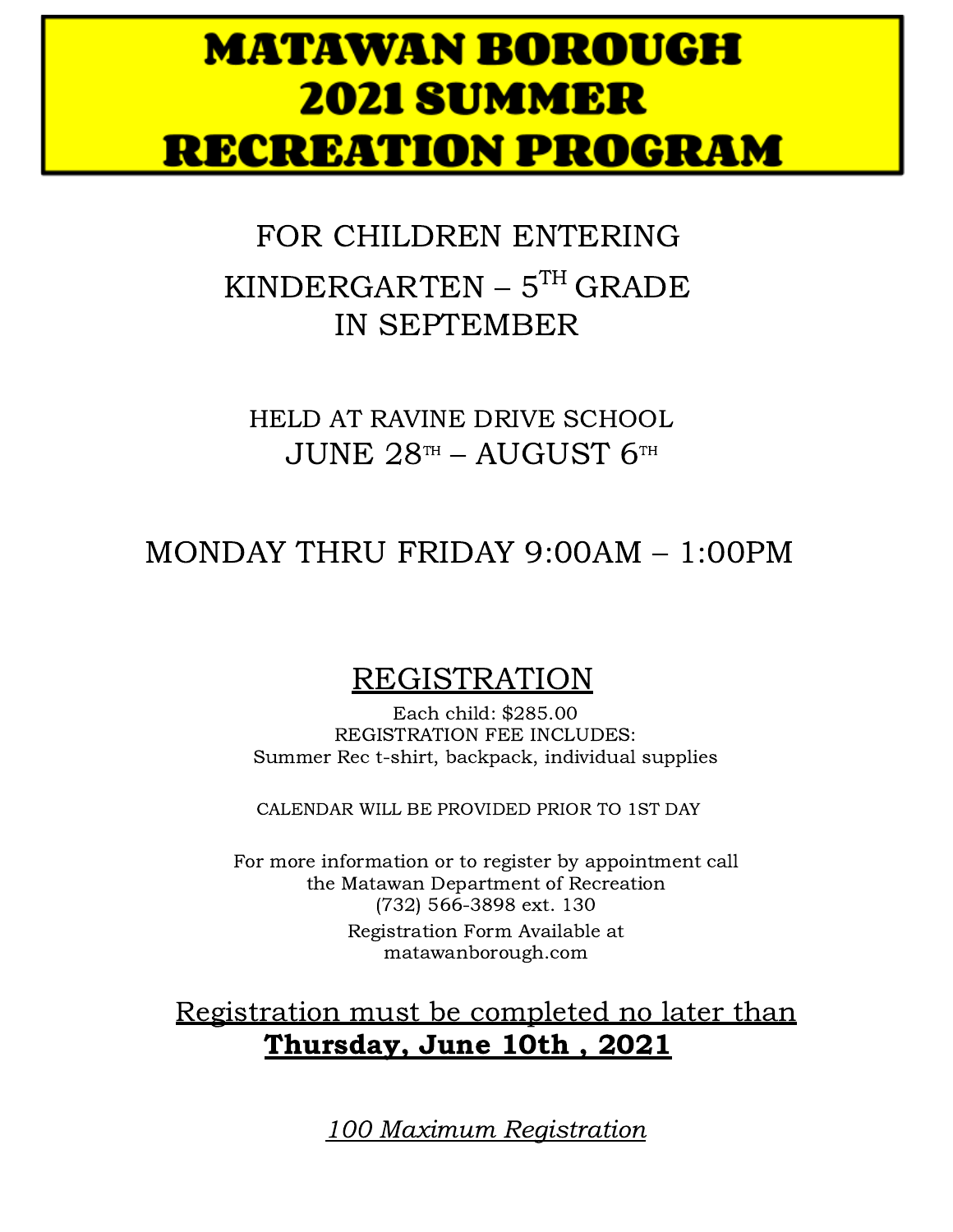# **MATAWAN BOROUGH 2021 SUMMER RECREATION PROGRAM**

## FOR CHILDREN ENTERING KINDERGARTEN – 5<sup>TH</sup> GRADE IN SEPTEMBER

HELD AT RAVINE DRIVE SCHOOL  $J$ UNE  $28<sup>TH</sup> - AUGUST 6<sup>TH</sup>$ 

### MONDAY THRU FRIDAY 9:00AM – 1:00PM

#### REGISTRATION

Each child: \$285.00 REGISTRATION FEE INCLUDES: Summer Rec t-shirt, backpack, individual supplies

CALENDAR WILL BE PROVIDED PRIOR TO 1ST DAY

For more information or to register by appointment call the Matawan Department of Recreation (732) 566-3898 ext. 130 Registration Form Available at matawanborough.com

Registration must be completed no later than Thursday, June 10th , 2021

100 Maximum Registration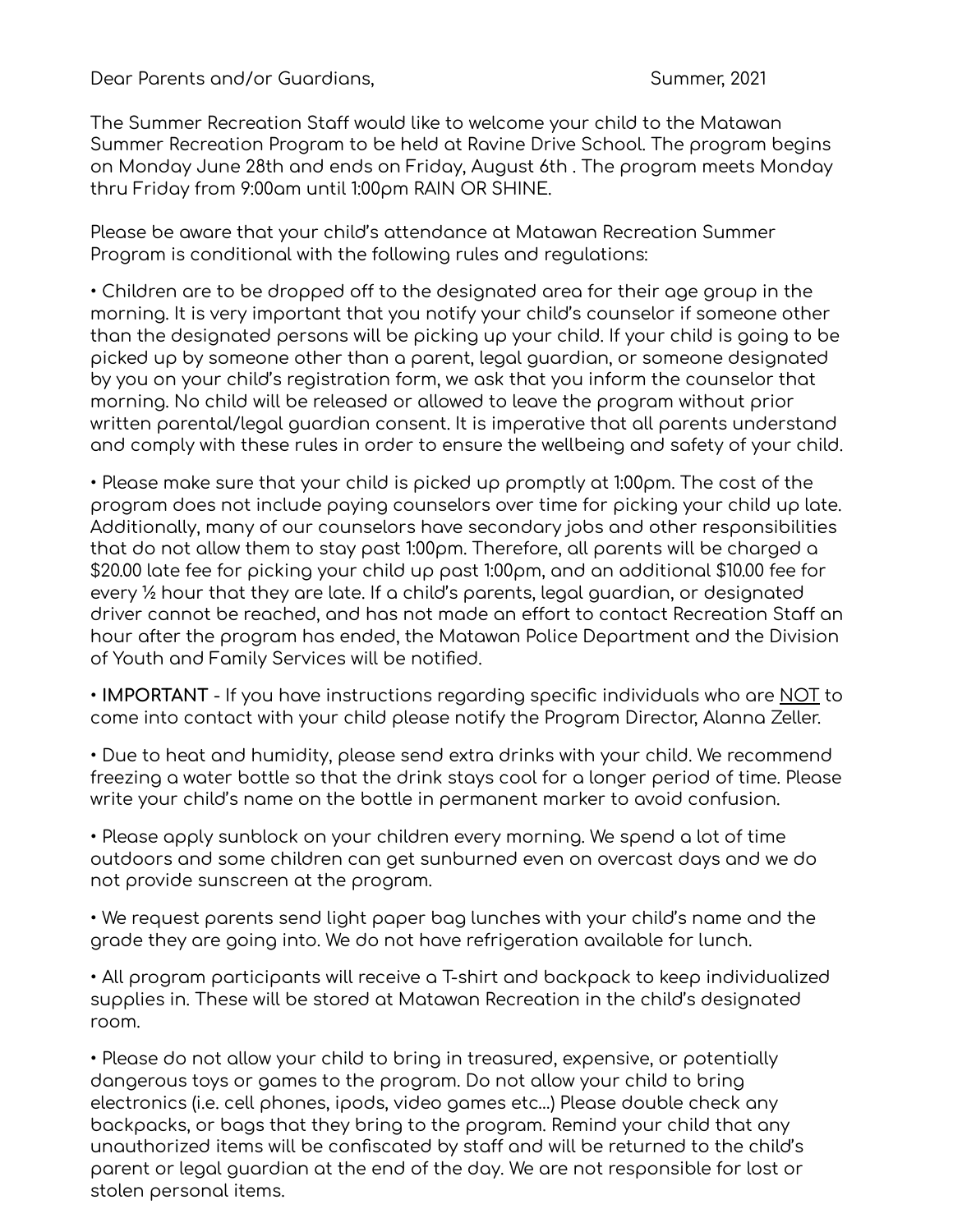Dear Parents and/or Guardians, Summer, 2021

The Summer Recreation Staff would like to welcome your child to the Matawan Summer Recreation Program to be held at Ravine Drive School. The program begins on Monday June 28th and ends on Friday, August 6th . The program meets Monday thru Friday from 9:00am until 1:00pm RAIN OR SHINE.

Please be aware that your child's attendance at Matawan Recreation Summer Program is conditional with the following rules and regulations:

• Children are to be dropped off to the designated area for their age group in the morning. It is very important that you notify your child's counselor if someone other than the designated persons will be picking up your child. If your child is going to be picked up by someone other than a parent, legal guardian, or someone designated by you on your child's registration form, we ask that you inform the counselor that morning. No child will be released or allowed to leave the program without prior written parental/legal guardian consent. It is imperative that all parents understand and comply with these rules in order to ensure the wellbeing and safety of your child.

• Please make sure that your child is picked up promptly at 1:00pm. The cost of the program does not include paying counselors over time for picking your child up late. Additionally, many of our counselors have secondary jobs and other responsibilities that do not allow them to stay past 1:00pm. Therefore, all parents will be charged a \$20.00 late fee for picking your child up past 1:00pm, and an additional \$10.00 fee for every ½ hour that they are late. If a child's parents, legal guardian, or designated driver cannot be reached, and has not made an effort to contact Recreation Staff an hour after the program has ended, the Matawan Police Department and the Division of Youth and Family Services will be notified.

• **IMPORTANT** - If you have instructions regarding specific individuals who are NOT to come into contact with your child please notify the Program Director, Alanna Zeller.

• Due to heat and humidity, please send extra drinks with your child. We recommend freezing a water bottle so that the drink stays cool for a longer period of time. Please write your child's name on the bottle in permanent marker to avoid confusion.

• Please apply sunblock on your children every morning. We spend a lot of time outdoors and some children can get sunburned even on overcast days and we do not provide sunscreen at the program.

• We request parents send light paper bag lunches with your child's name and the grade they are going into. We do not have refrigeration available for lunch.

• All program participants will receive a T-shirt and backpack to keep individualized supplies in. These will be stored at Matawan Recreation in the child's designated room.

• Please do not allow your child to bring in treasured, expensive, or potentially dangerous toys or games to the program. Do not allow your child to bring electronics (i.e. cell phones, ipods, video games etc…) Please double check any backpacks, or bags that they bring to the program. Remind your child that any unauthorized items will be confiscated by staff and will be returned to the child's parent or legal guardian at the end of the day. We are not responsible for lost or stolen personal items.